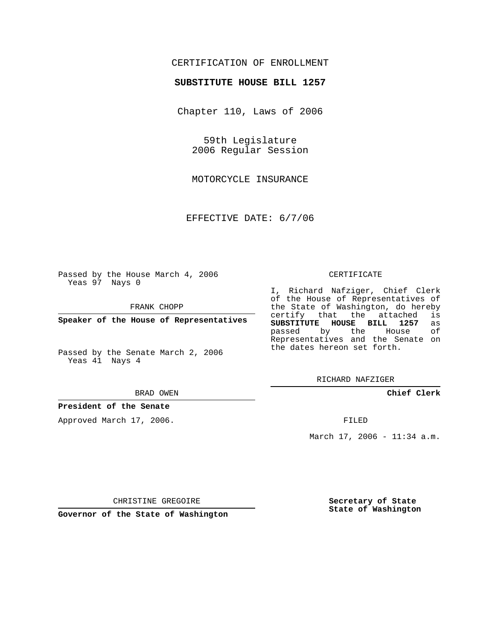# CERTIFICATION OF ENROLLMENT

## **SUBSTITUTE HOUSE BILL 1257**

Chapter 110, Laws of 2006

59th Legislature 2006 Regular Session

MOTORCYCLE INSURANCE

EFFECTIVE DATE: 6/7/06

Passed by the House March 4, 2006 Yeas 97 Nays 0

FRANK CHOPP

**Speaker of the House of Representatives**

Passed by the Senate March 2, 2006 Yeas 41 Nays 4

#### BRAD OWEN

## **President of the Senate**

Approved March 17, 2006.

#### CERTIFICATE

I, Richard Nafziger, Chief Clerk of the House of Representatives of the State of Washington, do hereby<br>certify that the attached is certify that the attached **SUBSTITUTE HOUSE BILL 1257** as passed by the House Representatives and the Senate on the dates hereon set forth.

RICHARD NAFZIGER

**Chief Clerk**

FILED

March 17, 2006 - 11:34 a.m.

CHRISTINE GREGOIRE

**Governor of the State of Washington**

**Secretary of State State of Washington**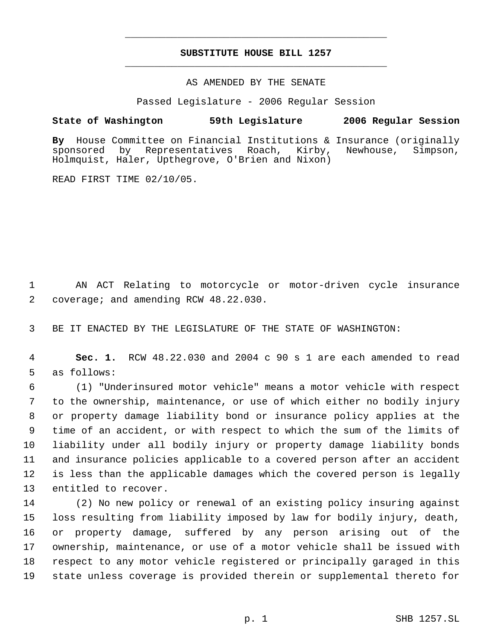# **SUBSTITUTE HOUSE BILL 1257** \_\_\_\_\_\_\_\_\_\_\_\_\_\_\_\_\_\_\_\_\_\_\_\_\_\_\_\_\_\_\_\_\_\_\_\_\_\_\_\_\_\_\_\_\_

\_\_\_\_\_\_\_\_\_\_\_\_\_\_\_\_\_\_\_\_\_\_\_\_\_\_\_\_\_\_\_\_\_\_\_\_\_\_\_\_\_\_\_\_\_

## AS AMENDED BY THE SENATE

Passed Legislature - 2006 Regular Session

## **State of Washington 59th Legislature 2006 Regular Session**

**By** House Committee on Financial Institutions & Insurance (originally sponsored by Representatives Roach, Kirby, Newhouse, Simpson, Holmquist, Haler, Upthegrove, O'Brien and Nixon)

READ FIRST TIME 02/10/05.

 AN ACT Relating to motorcycle or motor-driven cycle insurance coverage; and amending RCW 48.22.030.

BE IT ENACTED BY THE LEGISLATURE OF THE STATE OF WASHINGTON:

 **Sec. 1.** RCW 48.22.030 and 2004 c 90 s 1 are each amended to read as follows:

 (1) "Underinsured motor vehicle" means a motor vehicle with respect to the ownership, maintenance, or use of which either no bodily injury or property damage liability bond or insurance policy applies at the time of an accident, or with respect to which the sum of the limits of liability under all bodily injury or property damage liability bonds and insurance policies applicable to a covered person after an accident is less than the applicable damages which the covered person is legally entitled to recover.

 (2) No new policy or renewal of an existing policy insuring against loss resulting from liability imposed by law for bodily injury, death, or property damage, suffered by any person arising out of the ownership, maintenance, or use of a motor vehicle shall be issued with respect to any motor vehicle registered or principally garaged in this state unless coverage is provided therein or supplemental thereto for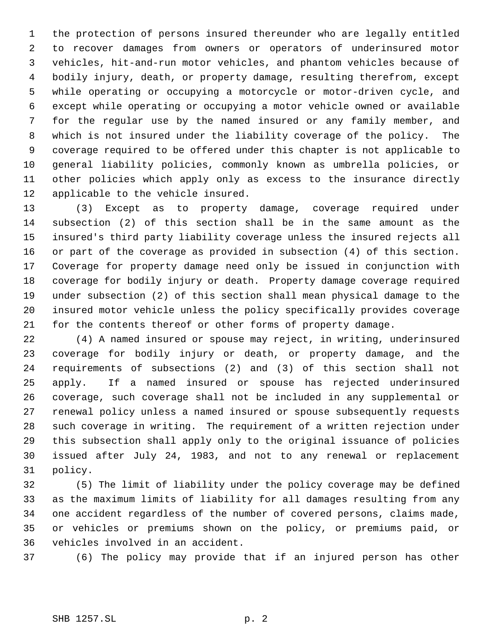the protection of persons insured thereunder who are legally entitled to recover damages from owners or operators of underinsured motor vehicles, hit-and-run motor vehicles, and phantom vehicles because of bodily injury, death, or property damage, resulting therefrom, except while operating or occupying a motorcycle or motor-driven cycle, and except while operating or occupying a motor vehicle owned or available for the regular use by the named insured or any family member, and which is not insured under the liability coverage of the policy. The coverage required to be offered under this chapter is not applicable to general liability policies, commonly known as umbrella policies, or other policies which apply only as excess to the insurance directly applicable to the vehicle insured.

 (3) Except as to property damage, coverage required under subsection (2) of this section shall be in the same amount as the insured's third party liability coverage unless the insured rejects all or part of the coverage as provided in subsection (4) of this section. Coverage for property damage need only be issued in conjunction with coverage for bodily injury or death. Property damage coverage required under subsection (2) of this section shall mean physical damage to the insured motor vehicle unless the policy specifically provides coverage for the contents thereof or other forms of property damage.

 (4) A named insured or spouse may reject, in writing, underinsured coverage for bodily injury or death, or property damage, and the requirements of subsections (2) and (3) of this section shall not apply. If a named insured or spouse has rejected underinsured coverage, such coverage shall not be included in any supplemental or renewal policy unless a named insured or spouse subsequently requests such coverage in writing. The requirement of a written rejection under this subsection shall apply only to the original issuance of policies issued after July 24, 1983, and not to any renewal or replacement policy.

 (5) The limit of liability under the policy coverage may be defined as the maximum limits of liability for all damages resulting from any one accident regardless of the number of covered persons, claims made, or vehicles or premiums shown on the policy, or premiums paid, or vehicles involved in an accident.

(6) The policy may provide that if an injured person has other